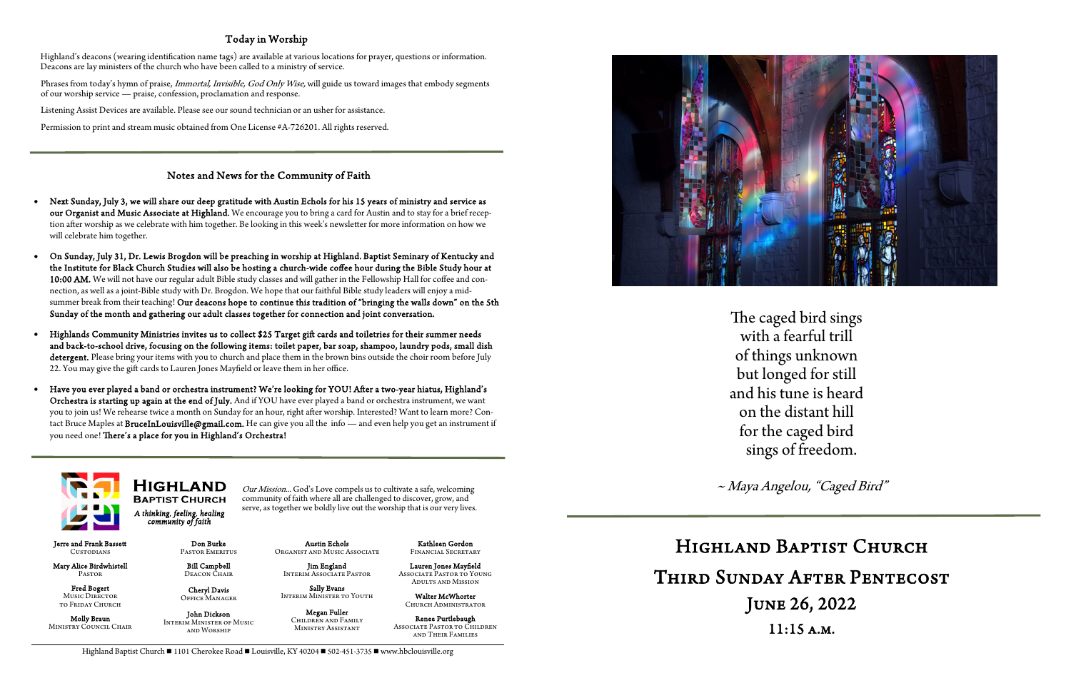## Today in Worship

Highland's deacons (wearing identification name tags) are available at various locations for prayer, questions or information. Deacons are lay ministers of the church who have been called to a ministry of service.

Phrases from today's hymn of praise, *Immortal, Invisible, God Only Wise*, will guide us toward images that embody segments of our worship service — praise, confession, proclamation and response.

> HIGHLAND **BAPTIST CHURCH** *A thinking, feeling, healing community of faith*

Listening Assist Devices are available. Please see our sound technician or an usher for assistance.

 Bill Campbell DEACON CHAIR

Permission to print and stream music obtained from One License #A-726201. All rights reserved.

Cheryl Davis OFFICE MANAGER

### Notes and News for the Community of Faith

Our Mission... God's Love compels us to cultivate a safe, welcoming community of faith where all are challenged to discover, grow, and serve, as together we boldly live out the worship that is our very lives.

Jerre and Frank Bassett **CUSTODIANS**  Mary Alice Birdwhistell Pastor Fred Bogert Music DIRECTOR to Friday Church Molly Braun Ministry Council Chair

Don BurkePastor Emeritus

John Dickson Interim Minister of Music and Worship

Austin Echols Organist and Music Associate

 Jim England Interim Associate Pastor

 Sally Evans Interim Minister to Youth

Megan Fuller Children and Family Ministry Assistant

Kathleen Gordon Financial Secretary

 Lauren Jones Mayfield Associate Pastor to Young Adults and Mission

 Walter McWhorter Church Administrator

Renee Purtlebaugh Associate Pastor to Children and Their Families

- Next Sunday, July 3, we will share our deep gratitude with Austin Echols for his 15 years of ministry and service as our Organist and Music Associate at Highland. We encourage you to bring a card for Austin and to stay for a brief reception after worship as we celebrate with him together. Be looking in this week's newsletter for more information on how we will celebrate him together.
- On Sunday, July 31, Dr. Lewis Brogdon will be preaching in worship at Highland. Baptist Seminary of Kentucky and the Institute for Black Church Studies will also be hosting a church-wide coffee hour during the Bible Study hour at 10:00 AM. We will not have our regular adult Bible study classes and will gather in the Fellowship Hall for coffee and connection, as well as a joint-Bible study with Dr. Brogdon. We hope that our faithful Bible study leaders will enjoy a midsummer break from their teaching! Our deacons hope to continue this tradition of "bringing the walls down" on the 5th Sunday of the month and gathering our adult classes together for connection and joint conversation.
- Highlands Community Ministries invites us to collect \$25 Target gift cards and toiletries for their summer needs and back-to-school drive, focusing on the following items: toilet paper, bar soap, shampoo, laundry pods, small dish detergent. Please bring your items with you to church and place them in the brown bins outside the choir room before July 22. You may give the gift cards to Lauren Jones Mayfield or leave them in her office.
- Have you ever played a band or orchestra instrument? We're looking for YOU! After a two-year hiatus, Highland's Orchestra is starting up again at the end of July. And if YOU have ever played a band or orchestra instrument, we want you to join us! We rehearse twice a month on Sunday for an hour, right after worship. Interested? Want to learn more? Contact Bruce Maples at **BruceInLouisville@gmail.com.** He can give you all the info — and even help you get an instrument if you need one! There's a place for you in Highland's Orchestra!



The caged bird sings with a fearful trill of things unknown but longed for still and his tune is heard on the distant hill for the caged bird sings of freedom.

~ Maya Angelou, "Caged Bird"

HIGHLAND BAPTIST CHURCH<br>
THIRD SUNDAY AFTER PENTECOST<br>
JUNE 26, 2022<br>
11:15 a.m.

Highland Baptist Church  $\blacksquare$  1101 Cherokee Road  $\blacksquare$  Louisville, KY 40204  $\blacksquare$  502-451-3735  $\blacksquare$  www.hbclouisville.org